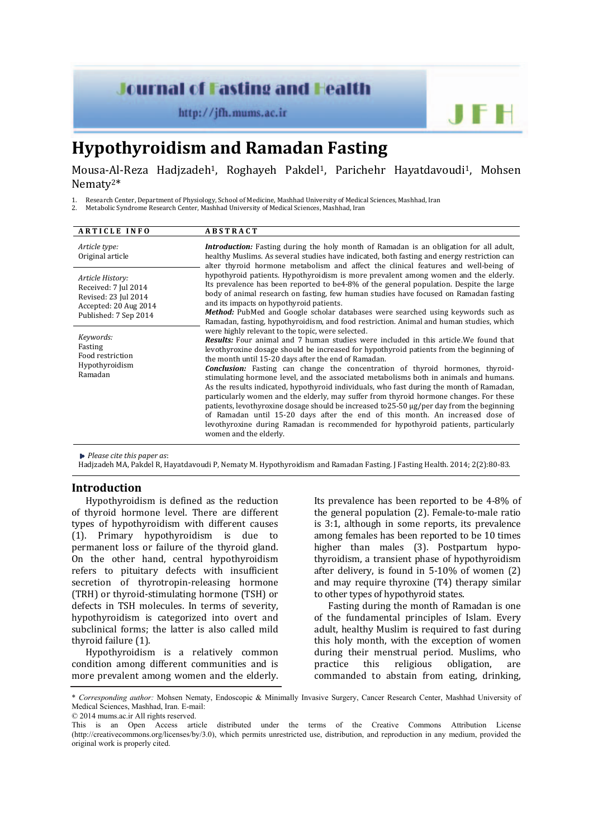# **Journal of Fasting and Health**

http://jfh.mums.ac.ir

# **Hypothyroidism and Ramadan Fasting**

Mousa-Al-Reza Hadizadeh<sup>1</sup>, Roghayeh Pakdel<sup>1</sup>, Parichehr Hayatdavoudi<sup>1</sup>, Mohsen Nematy2\* 

1. Research Center, Department of Physiology, School of Medicine, Mashhad University of Medical Sciences, Mashhad, Iran<br>2. Metabolic Syndrome Research Center, Mashhad University of Medical Sciences, Mashhad, Iran

Metabolic Syndrome Research Center, Mashhad University of Medical Sciences, Mashhad, Iran

| <b>ARTICLE INFO</b>                                                                       | <b>ABSTRACT</b>                                                                                                                                                                                                                                                                                                                                                                                                                                                                                                                                                                                                                                                                                                                                                                                                                                |
|-------------------------------------------------------------------------------------------|------------------------------------------------------------------------------------------------------------------------------------------------------------------------------------------------------------------------------------------------------------------------------------------------------------------------------------------------------------------------------------------------------------------------------------------------------------------------------------------------------------------------------------------------------------------------------------------------------------------------------------------------------------------------------------------------------------------------------------------------------------------------------------------------------------------------------------------------|
| Article type:<br>Original article                                                         | <b>Introduction:</b> Fasting during the holy month of Ramadan is an obligation for all adult,<br>healthy Muslims. As several studies have indicated, both fasting and energy restriction can<br>alter thyroid hormone metabolism and affect the clinical features and well-being of<br>hypothyroid patients. Hypothyroidism is more prevalent among women and the elderly.<br>Its prevalence has been reported to be4-8% of the general population. Despite the large<br>body of animal research on fasting, few human studies have focused on Ramadan fasting<br>and its impacts on hypothyroid patients.<br>Method: PubMed and Google scholar databases were searched using keywords such as<br>Ramadan, fasting, hypothyroidism, and food restriction. Animal and human studies, which<br>were highly relevant to the topic, were selected. |
| Article History:<br>Received: 7 Jul 2014<br>Revised: 23 Jul 2014<br>Accepted: 20 Aug 2014 |                                                                                                                                                                                                                                                                                                                                                                                                                                                                                                                                                                                                                                                                                                                                                                                                                                                |
| Published: 7 Sep 2014                                                                     |                                                                                                                                                                                                                                                                                                                                                                                                                                                                                                                                                                                                                                                                                                                                                                                                                                                |
| Keywords:<br>Fasting<br>Food restriction                                                  | <b>Results:</b> Four animal and 7 human studies were included in this article. We found that<br>levothyroxine dosage should be increased for hypothyroid patients from the beginning of<br>the month until 15-20 days after the end of Ramadan.                                                                                                                                                                                                                                                                                                                                                                                                                                                                                                                                                                                                |
| Hypothyroidism<br>Ramadan                                                                 | <b>Conclusion:</b> Fasting can change the concentration of thyroid hormones, thyroid-<br>stimulating hormone level, and the associated metabolisms both in animals and humans.<br>As the results indicated, hypothyroid individuals, who fast during the month of Ramadan,<br>particularly women and the elderly, may suffer from thyroid hormone changes. For these<br>patients, levothyroxine dosage should be increased to $25-50 \mu g/per$ day from the beginning<br>of Ramadan until 15-20 days after the end of this month. An increased dose of<br>levothyroxine during Ramadan is recommended for hypothyroid patients, particularly<br>women and the elderly.                                                                                                                                                                        |

*Please cite this paper as*: 

Hadjzadeh MA, Pakdel R, Hayatdavoudi P, Nematy M. Hypothyroidism and Ramadan Fasting. J Fasting Health. 2014; 2(2):80-83.

#### **Introduction**

Hypothyroidism is defined as the reduction of thyroid hormone level. There are different types of hypothyroidism with different causes (1). Primary hypothyroidism is due to permanent loss or failure of the thyroid gland. On the other hand, central hypothyroidism refers to pituitary defects with insufficient secretion of thyrotropin-releasing hormone (TRH) or thyroid-stimulating hormone (TSH) or defects in TSH molecules. In terms of severity, hvpothvroidism is categorized into overt and subclinical forms; the latter is also called mild thyroid failure (1).

Hypothyroidism is a relatively common condition among different communities and is more prevalent among women and the elderly. Its prevalence has been reported to be  $4-8\%$  of the general population  $(2)$ . Female-to-male ratio is  $3:1$ , although in some reports, its prevalence among females has been reported to be 10 times higher than males (3). Postpartum hypothyroidism, a transient phase of hypothyroidism after delivery, is found in  $5-10\%$  of women  $(2)$ and may require thyroxine (T4) therapy similar to other types of hypothyroid states.

Fasting during the month of Ramadan is one of the fundamental principles of Islam. Every adult, healthy Muslim is required to fast during this holy month, with the exception of women during their menstrual period. Muslims, who practice this religious obligation, are commanded to abstain from eating, drinking,

© 2014 mums.ac.ir All rights reserved.

<sup>\*</sup> *Corresponding author:* Mohsen Nematy, Endoscopic & Minimally Invasive Surgery, Cancer Research Center, Mashhad University of Medical Sciences, Mashhad, Iran. E-mail:

This is an Open Access article distributed under the terms of the Creative Commons Attribution License (http://creativecommons.org/licenses/by/3.0), which permits unrestricted use, distribution, and reproduction in any medium, provided the original work is properly cited.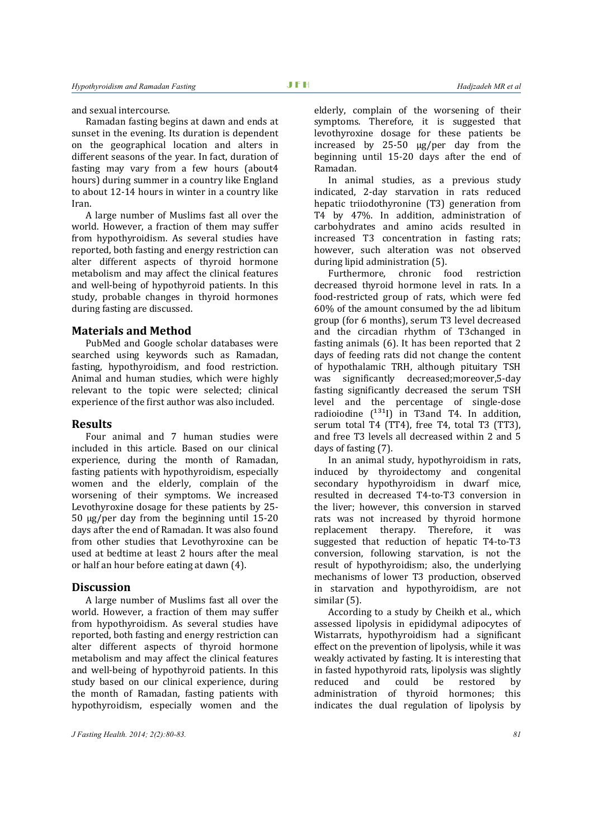and sexual intercourse.

Ramadan fasting begins at dawn and ends at sunset in the evening. Its duration is dependent on the geographical location and alters in different seasons of the year. In fact, duration of fasting may vary from a few hours (about4 hours) during summer in a country like England to about 12-14 hours in winter in a country like Iran. 

A large number of Muslims fast all over the world. However, a fraction of them may suffer from hypothyroidism. As several studies have reported, both fasting and energy restriction can alter different aspects of thyroid hormone metabolism and may affect the clinical features and well-being of hypothyroid patients. In this study, probable changes in thyroid hormones during fasting are discussed.

## **Materials and Method**

PubMed and Google scholar databases were searched using keywords such as Ramadan, fasting, hypothyroidism, and food restriction. Animal and human studies, which were highly relevant to the topic were selected; clinical experience of the first author was also included.

#### **Results**

Four animal and 7 human studies were included in this article. Based on our clinical experience, during the month of Ramadan, fasting patients with hypothyroidism, especially women and the elderly, complain of the worsening of their symptoms. We increased Levothyroxine dosage for these patients by 25- $50 \mu g/per$  day from the beginning until  $15-20$ days after the end of Ramadan. It was also found from other studies that Levothyroxine can be used at bedtime at least 2 hours after the meal or half an hour before eating at dawn (4).

### **Discussion**

A large number of Muslims fast all over the world. However, a fraction of them may suffer from hypothyroidism. As several studies have reported, both fasting and energy restriction can alter different aspects of thyroid hormone metabolism and may affect the clinical features and well-being of hypothyroid patients. In this study based on our clinical experience, during the month of Ramadan, fasting patients with hypothyroidism, especially women and the

elderly, complain of the worsening of their symptoms. Therefore, it is suggested that levothyroxine dosage for these patients be increased by  $25-50 \mu g/per$  day from the beginning until 15-20 days after the end of Ramadan. 

In animal studies, as a previous study indicated, 2-day starvation in rats reduced hepatic triiodothyronine (T3) generation from T4 by 47%. In addition, administration of carbohydrates and amino acids resulted in increased T3 concentration in fasting rats; however, such alteration was not observed during lipid administration (5).

Furthermore, chronic food restriction decreased thyroid hormone level in rats. In a food-restricted group of rats, which were fed  $60\%$  of the amount consumed by the ad libitum group (for 6 months), serum T3 level decreased and the circadian rhythm of T3changed in fasting animals  $(6)$ . It has been reported that 2 days of feeding rats did not change the content of hypothalamic TRH, although pituitary TSH was significantly decreased;moreover,5-day fasting significantly decreased the serum TSH level and the percentage of single-dose radioiodine  $\binom{131}{1}$  in T3and T4. In addition, serum total T4 (TT4), free T4, total T3 (TT3), and free T3 levels all decreased within 2 and 5 days of fasting (7).

In an animal study, hypothyroidism in rats, induced by thyroidectomy and congenital secondary hypothyroidism in dwarf mice, resulted in decreased T4-to-T3 conversion in the liver; however, this conversion in starved rats was not increased by thyroid hormone replacement therapy. Therefore, it was suggested that reduction of hepatic T4-to-T3 conversion, following starvation, is not the result of hypothyroidism; also, the underlying mechanisms of lower T3 production, observed in starvation and hypothyroidism, are not similar $(5)$ .

According to a study by Cheikh et al., which assessed lipolysis in epididymal adipocytes of Wistarrats, hypothyroidism had a significant effect on the prevention of lipolysis, while it was weakly activated by fasting. It is interesting that in fasted hypothyroid rats, lipolysis was slightly reduced and could be restored by administration of thyroid hormones; this indicates the dual regulation of lipolysis by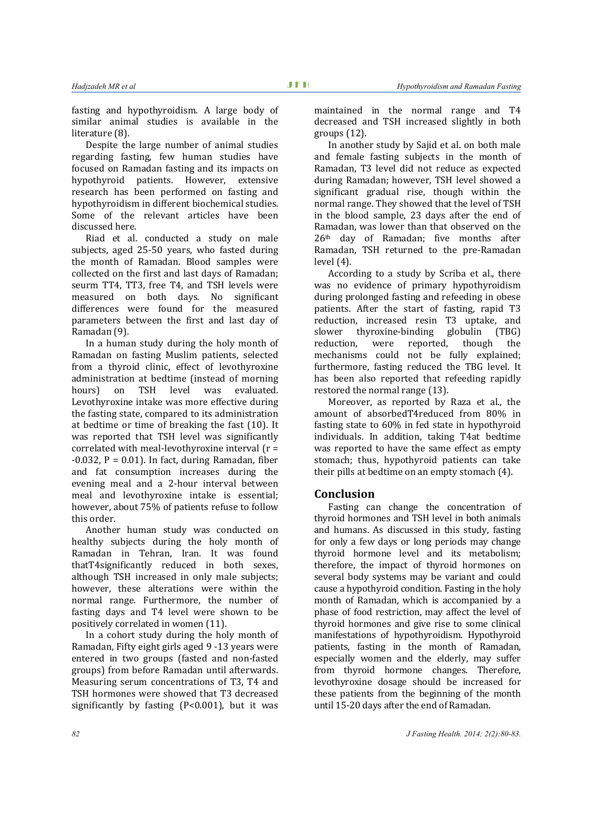fasting and hypothyroidism. A large body of similar animal studies is available in the literature (8).

Despite the large number of animal studies regarding fasting, few human studies have focused on Ramadan fasting and its impacts on hypothyroid patients. However, extensive research has been performed on fasting and hypothyroidism in different biochemical studies. Some of the relevant articles have been discussed here.

Riad et al. conducted a study on male subjects, aged 25-50 years, who fasted during the month of Ramadan. Blood samples were collected on the first and last days of Ramadan; seurm TT4, TT3, free T4, and TSH levels were measured on both days. No significant differences were found for the measured parameters between the first and last day of Ramadan (9).

In a human study during the holy month of Ramadan on fasting Muslim patients, selected from a thyroid clinic, effect of levothyroxine administration at bedtime (instead of morning hours) on TSH level was evaluated. Levothyroxine intake was more effective during the fasting state, compared to its administration at bedtime or time of breaking the fast (10). It was reported that TSH level was significantly correlated with meal-levothyroxine interval  $(r =$  $-0.032$ ,  $P = 0.01$ ). In fact, during Ramadan, fiber and fat consumption increases during the evening meal and a 2-hour interval between meal and levothyroxine intake is essential; however, about 75% of patients refuse to follow this order.

Another human study was conducted on healthy subjects during the holy month of Ramadan in Tehran, Iran. It was found thatT4significantly reduced in both sexes, although TSH increased in only male subjects; however, these alterations were within the normal range. Furthermore, the number of fasting days and T4 level were shown to be positively correlated in women (11).

In a cohort study during the holy month of Ramadan, Fifty eight girls aged 9 -13 years were entered in two groups (fasted and non-fasted groups) from before Ramadan until afterwards. Measuring serum concentrations of T3, T4 and TSH hormones were showed that T3 decreased significantly by fasting  $(P<0.001)$ , but it was

maintained in the normal range and T4 decreased and TSH increased slightly in both groups  $(12)$ .

In another study by Sajid et al. on both male and female fasting subjects in the month of Ramadan, T3 level did not reduce as expected during Ramadan; however, TSH level showed a significant gradual rise, though within the normal range. They showed that the level of TSH in the blood sample, 23 days after the end of Ramadan, was lower than that observed on the  $26<sup>th</sup>$  day of Ramadan; five months after Ramadan, TSH returned to the pre-Ramadan  $level(4)$ .

According to a study by Scriba et al., there was no evidence of primary hypothyroidism during prolonged fasting and refeeding in obese patients. After the start of fasting, rapid T3 reduction, increased resin T3 uptake, and slower thyroxine-binding globulin (TBG) reduction, were reported, though the mechanisms could not be fully explained: furthermore, fasting reduced the TBG level. It has been also reported that refeeding rapidly restored the normal range (13).

Moreover, as reported by Raza et al., the amount of absorbedT4reduced from 80% in fasting state to 60% in fed state in hypothyroid individuals. In addition, taking T4at bedtime was reported to have the same effect as empty stomach; thus, hypothyroid patients can take their pills at bedtime on an empty stomach  $(4)$ .

## **Conclusion**

Fasting can change the concentration of thyroid hormones and TSH level in both animals and humans. As discussed in this study, fasting for only a few days or long periods may change thyroid hormone level and its metabolism; therefore, the impact of thyroid hormones on several body systems may be variant and could cause a hypothyroid condition. Fasting in the holy month of Ramadan, which is accompanied by a phase of food restriction, may affect the level of thyroid hormones and give rise to some clinical manifestations of hypothyroidism. Hypothyroid patients, fasting in the month of Ramadan, especially women and the elderly, may suffer from thyroid hormone changes. Therefore, levothyroxine dosage should be increased for these patients from the beginning of the month until 15-20 days after the end of Ramadan.